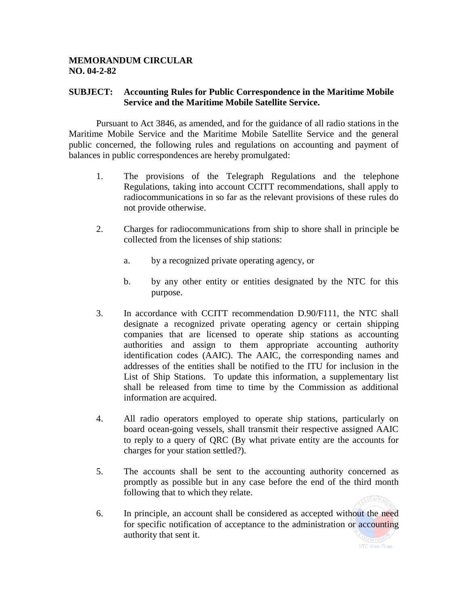## **MEMORANDUM CIRCULAR NO. 04-2-82**

## **SUBJECT: Accounting Rules for Public Correspondence in the Maritime Mobile Service and the Maritime Mobile Satellite Service.**

Pursuant to Act 3846, as amended, and for the guidance of all radio stations in the Maritime Mobile Service and the Maritime Mobile Satellite Service and the general public concerned, the following rules and regulations on accounting and payment of balances in public correspondences are hereby promulgated:

- 1. The provisions of the Telegraph Regulations and the telephone Regulations, taking into account CCITT recommendations, shall apply to radiocommunications in so far as the relevant provisions of these rules do not provide otherwise.
- 2. Charges for radiocommunications from ship to shore shall in principle be collected from the licenses of ship stations:
	- a. by a recognized private operating agency, or
	- b. by any other entity or entities designated by the NTC for this purpose.
- 3. In accordance with CCITT recommendation D.90/F111, the NTC shall designate a recognized private operating agency or certain shipping companies that are licensed to operate ship stations as accounting authorities and assign to them appropriate accounting authority identification codes (AAIC). The AAIC, the corresponding names and addresses of the entities shall be notified to the ITU for inclusion in the List of Ship Stations. To update this information, a supplementary list shall be released from time to time by the Commission as additional information are acquired.
- 4. All radio operators employed to operate ship stations, particularly on board ocean-going vessels, shall transmit their respective assigned AAIC to reply to a query of QRC (By what private entity are the accounts for charges for your station settled?).
- 5. The accounts shall be sent to the accounting authority concerned as promptly as possible but in any case before the end of the third month following that to which they relate.
- 6. In principle, an account shall be considered as accepted without the need for specific notification of acceptance to the administration or accounting authority that sent it.